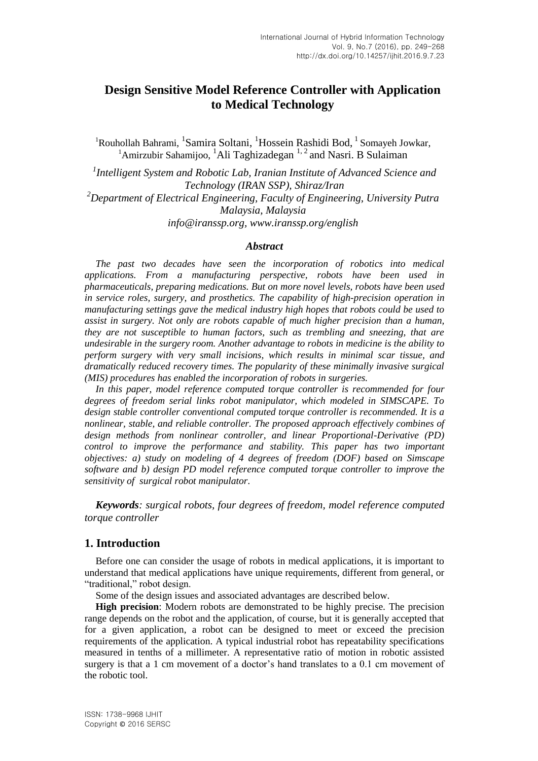# **Design Sensitive Model Reference Controller with Application to Medical Technology**

<sup>1</sup>Rouhollah Bahrami, <sup>1</sup>Samira Soltani, <sup>1</sup>Hossein Rashidi Bod, <sup>1</sup> Somayeh Jowkar, <sup>1</sup>Amirzubir Sahamijoo, <sup>1</sup>Ali Taghizadegan<sup>1, 2</sup> and Nasri. B Sulaiman

*1 Intelligent System and Robotic Lab, Iranian Institute of Advanced Science and Technology (IRAN SSP), Shiraz/Iran <sup>2</sup>Department of Electrical Engineering, Faculty of Engineering, University Putra Malaysia, Malaysia [info@iranssp.org,](mailto:info@iranssp.org,) www.iranssp.org/english*

#### *Abstract*

*The past two decades have seen the incorporation of robotics into medical applications. From a manufacturing perspective, robots have been used in pharmaceuticals, preparing medications. But on more novel levels, robots have been used in service roles, surgery, and prosthetics. The capability of high-precision operation in manufacturing settings gave the medical industry high hopes that robots could be used to assist in surgery. Not only are robots capable of much higher precision than a human, they are not susceptible to human factors, such as trembling and sneezing, that are undesirable in the surgery room. Another advantage to robots in medicine is the ability to perform surgery with very small incisions, which results in minimal scar tissue, and dramatically reduced recovery times. The popularity of these minimally invasive surgical (MIS) procedures has enabled the incorporation of robots in surgeries.*

*In this paper, model reference computed torque controller is recommended for four degrees of freedom serial links robot manipulator, which modeled in SIMSCAPE. To design stable controller conventional computed torque controller is recommended. It is a nonlinear, stable, and reliable controller. The proposed approach effectively combines of design methods from nonlinear controller, and linear Proportional-Derivative (PD) control to improve the performance and stability. This paper has two important objectives: a) study on modeling of 4 degrees of freedom (DOF) based on Simscape software and b) design PD model reference computed torque controller to improve the sensitivity of surgical robot manipulator.*

*Keywords: surgical robots, four degrees of freedom, model reference computed torque controller*

### **1. Introduction**

Before one can consider the usage of robots in medical applications, it is important to understand that medical applications have unique requirements, different from general, or "traditional," robot design.

Some of the design issues and associated advantages are described below.

**High precision**: Modern robots are demonstrated to be highly precise. The precision range depends on the robot and the application, of course, but it is generally accepted that for a given application, a robot can be designed to meet or exceed the precision requirements of the application. A typical industrial robot has repeatability specifications measured in tenths of a millimeter. A representative ratio of motion in robotic assisted surgery is that a 1 cm movement of a doctor's hand translates to a 0.1 cm movement of the robotic tool.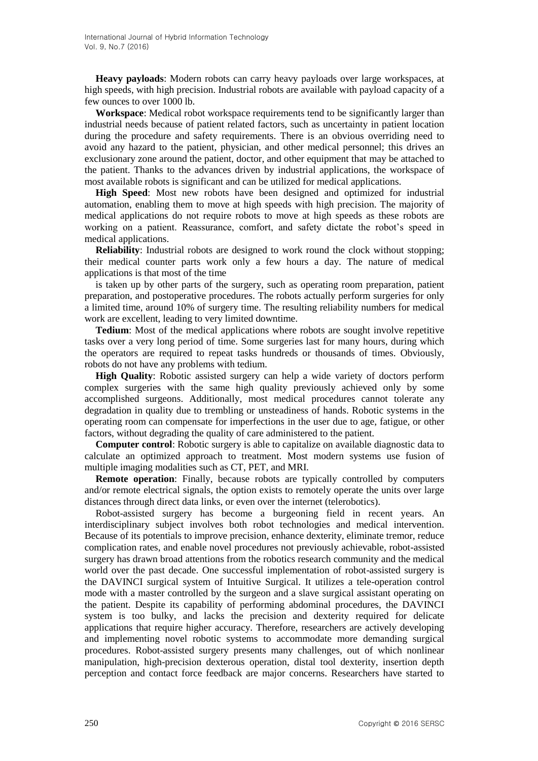**Heavy payloads**: Modern robots can carry heavy payloads over large workspaces, at high speeds, with high precision. Industrial robots are available with payload capacity of a few ounces to over 1000 lb.

**Workspace**: Medical robot workspace requirements tend to be significantly larger than industrial needs because of patient related factors, such as uncertainty in patient location during the procedure and safety requirements. There is an obvious overriding need to avoid any hazard to the patient, physician, and other medical personnel; this drives an exclusionary zone around the patient, doctor, and other equipment that may be attached to the patient. Thanks to the advances driven by industrial applications, the workspace of most available robots is significant and can be utilized for medical applications.

**High Speed**: Most new robots have been designed and optimized for industrial automation, enabling them to move at high speeds with high precision. The majority of medical applications do not require robots to move at high speeds as these robots are working on a patient. Reassurance, comfort, and safety dictate the robot's speed in medical applications.

**Reliability**: Industrial robots are designed to work round the clock without stopping; their medical counter parts work only a few hours a day. The nature of medical applications is that most of the time

is taken up by other parts of the surgery, such as operating room preparation, patient preparation, and postoperative procedures. The robots actually perform surgeries for only a limited time, around 10% of surgery time. The resulting reliability numbers for medical work are excellent, leading to very limited downtime.

**Tedium**: Most of the medical applications where robots are sought involve repetitive tasks over a very long period of time. Some surgeries last for many hours, during which the operators are required to repeat tasks hundreds or thousands of times. Obviously, robots do not have any problems with tedium.

**High Quality**: Robotic assisted surgery can help a wide variety of doctors perform complex surgeries with the same high quality previously achieved only by some accomplished surgeons. Additionally, most medical procedures cannot tolerate any degradation in quality due to trembling or unsteadiness of hands. Robotic systems in the operating room can compensate for imperfections in the user due to age, fatigue, or other factors, without degrading the quality of care administered to the patient.

**Computer control**: Robotic surgery is able to capitalize on available diagnostic data to calculate an optimized approach to treatment. Most modern systems use fusion of multiple imaging modalities such as CT, PET, and MRI.

**Remote operation**: Finally, because robots are typically controlled by computers and/or remote electrical signals, the option exists to remotely operate the units over large distances through direct data links, or even over the internet (telerobotics).

Robot-assisted surgery has become a burgeoning field in recent years. An interdisciplinary subject involves both robot technologies and medical intervention. Because of its potentials to improve precision, enhance dexterity, eliminate tremor, reduce complication rates, and enable novel procedures not previously achievable, robot-assisted surgery has drawn broad attentions from the robotics research community and the medical world over the past decade. One successful implementation of robot-assisted surgery is the DAVINCI surgical system of Intuitive Surgical. It utilizes a tele-operation control mode with a master controlled by the surgeon and a slave surgical assistant operating on the patient. Despite its capability of performing abdominal procedures, the DAVINCI system is too bulky, and lacks the precision and dexterity required for delicate applications that require higher accuracy. Therefore, researchers are actively developing and implementing novel robotic systems to accommodate more demanding surgical procedures. Robot-assisted surgery presents many challenges, out of which nonlinear manipulation, high-precision dexterous operation, distal tool dexterity, insertion depth perception and contact force feedback are major concerns. Researchers have started to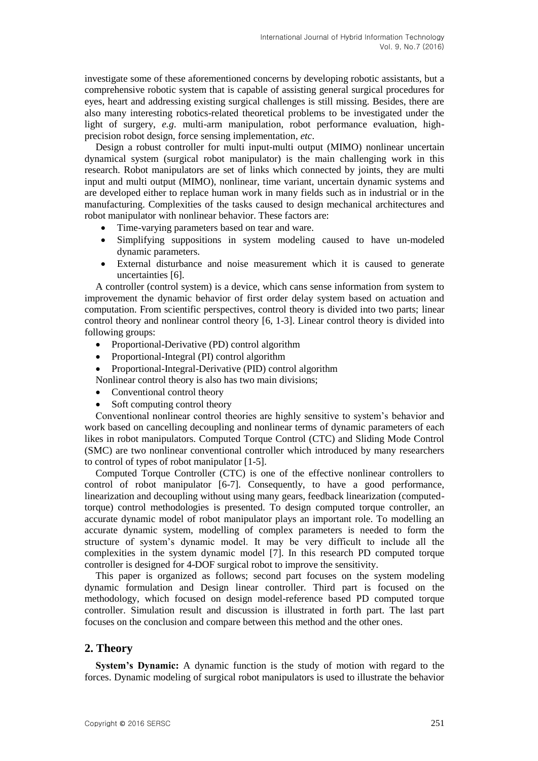investigate some of these aforementioned concerns by developing robotic assistants, but a comprehensive robotic system that is capable of assisting general surgical procedures for eyes, heart and addressing existing surgical challenges is still missing. Besides, there are also many interesting robotics-related theoretical problems to be investigated under the light of surgery, *e.g*. multi-arm manipulation, robot performance evaluation, highprecision robot design, force sensing implementation*, etc*.

Design a robust controller for multi input-multi output (MIMO) nonlinear uncertain dynamical system (surgical robot manipulator) is the main challenging work in this research. Robot manipulators are set of links which connected by joints, they are multi input and multi output (MIMO), nonlinear, time variant, uncertain dynamic systems and are developed either to replace human work in many fields such as in industrial or in the manufacturing. Complexities of the tasks caused to design mechanical architectures and robot manipulator with nonlinear behavior. These factors are:

- Time-varying parameters based on tear and ware.
- Simplifying suppositions in system modeling caused to have un-modeled dynamic parameters.
- External disturbance and noise measurement which it is caused to generate uncertainties [6].

A controller (control system) is a device, which cans sense information from system to improvement the dynamic behavior of first order delay system based on actuation and computation. From scientific perspectives, control theory is divided into two parts; linear control theory and nonlinear control theory [6, 1-3]. Linear control theory is divided into following groups:

- Proportional-Derivative (PD) control algorithm
- Proportional-Integral (PI) control algorithm
- Proportional-Integral-Derivative (PID) control algorithm
- Nonlinear control theory is also has two main divisions;
- Conventional control theory
- Soft computing control theory

Conventional nonlinear control theories are highly sensitive to system's behavior and work based on cancelling decoupling and nonlinear terms of dynamic parameters of each likes in robot manipulators. Computed Torque Control (CTC) and Sliding Mode Control (SMC) are two nonlinear conventional controller which introduced by many researchers to control of types of robot manipulator [1-5].

Computed Torque Controller (CTC) is one of the effective nonlinear controllers to control of robot manipulator [6-7]. Consequently, to have a good performance, linearization and decoupling without using many gears, feedback linearization (computedtorque) control methodologies is presented. To design computed torque controller, an accurate dynamic model of robot manipulator plays an important role. To modelling an accurate dynamic system, modelling of complex parameters is needed to form the structure of system's dynamic model. It may be very difficult to include all the complexities in the system dynamic model [7]. In this research PD computed torque controller is designed for 4-DOF surgical robot to improve the sensitivity.

This paper is organized as follows; second part focuses on the system modeling dynamic formulation and Design linear controller. Third part is focused on the methodology, which focused on design model-reference based PD computed torque controller. Simulation result and discussion is illustrated in forth part. The last part focuses on the conclusion and compare between this method and the other ones.

### **2. Theory**

**System's Dynamic:** A dynamic function is the study of motion with regard to the forces. Dynamic modeling of surgical robot manipulators is used to illustrate the behavior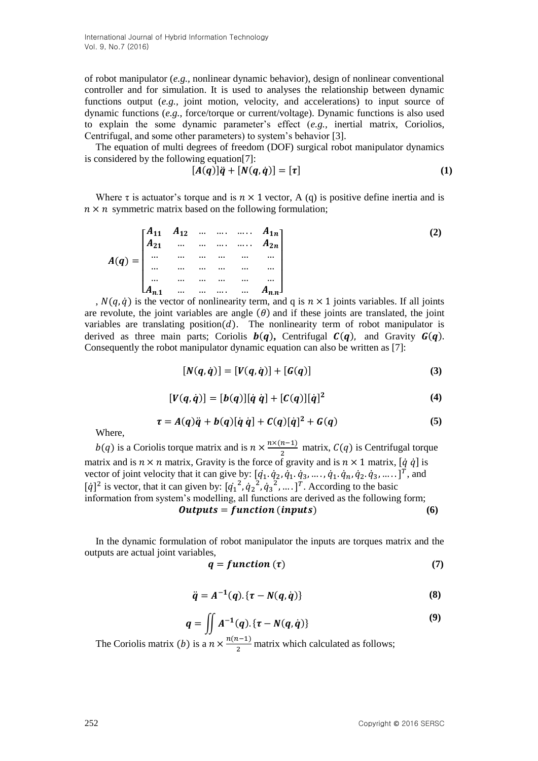of robot manipulator (*e.g.,* nonlinear dynamic behavior), design of nonlinear conventional controller and for simulation. It is used to analyses the relationship between dynamic functions output (*e.g.,* joint motion, velocity, and accelerations) to input source of dynamic functions (*e.g.,* force/torque or current/voltage). Dynamic functions is also used to explain the some dynamic parameter's effect (*e.g.,* inertial matrix, Coriolios, Centrifugal, and some other parameters) to system's behavior [3].

The equation of multi degrees of freedom (DOF) surgical robot manipulator dynamics is considered by the following equation[7]:

$$
[A(q)]\ddot{q} + [N(q, \dot{q})] = [\tau]
$$
\n(1)

Where  $\tau$  is actuator's torque and is  $n \times 1$  vector, A (q) is positive define inertia and is  $n \times n$  symmetric matrix based on the following formulation;

$$
A(q) = \begin{bmatrix} A_{11} & A_{12} & \dots & \dots & A_{1n} \\ A_{21} & \dots & \dots & \dots & A_{2n} \\ \dots & \dots & \dots & \dots & \dots \\ \dots & \dots & \dots & \dots & \dots \\ \dots & \dots & \dots & \dots & \dots \\ A_{n1} & \dots & \dots & \dots & A_{nn} \end{bmatrix}
$$
 (2)

,  $N(q, \dot{q})$  is the vector of nonlinearity term, and q is  $n \times 1$  joints variables. If all joints are revolute, the joint variables are angle  $(\theta)$  and if these joints are translated, the joint variables are translating  $position(d)$ . The nonlinearity term of robot manipulator is derived as three main parts; Coriolis  $b(q)$ , Centrifugal  $C(q)$ , and Gravity  $G(q)$ . Consequently the robot manipulator dynamic equation can also be written as [7]:

$$
[N(q, \dot{q})] = [V(q, \dot{q})] + [G(q)] \tag{3}
$$

$$
[V(q, \dot{q})] = [b(q)][\dot{q} \dot{q}] + [C(q)][\dot{q}]^2 \tag{4}
$$

$$
\tau = A(q)\ddot{q} + b(q)[\dot{q}\dot{q}] + C(q)[\dot{q}]^2 + G(q) \tag{5}
$$

Where,

 $b(q)$  is a Coriolis torque matrix and is  $n \times \frac{n \times (n-1)}{2}$  $\frac{n-1}{2}$  matrix,  $C(q)$  is Centrifugal torque matrix and is  $n \times n$  matrix, Gravity is the force of gravity and is  $n \times 1$  matrix,  $[\dot{q} \dot{q}]$  is vector of joint velocity that it can give by:  $[q_1, q_2, \dot{q}_1, \dot{q}_3, \dots, \dot{q}_1, \dot{q}_n, \dot{q}_2, \dot{q}_3, \dots]^{T}$ , and  $[\dot{q}]^2$  is vector, that it can given by:  $[q_1^2, \dot{q}_2^2, \dot{q}_3^2, \dots]^T$ . According to the basic information from system's modelling, all functions are derived as the following form;  **(6)** 

In the dynamic formulation of robot manipulator the inputs are torques matrix and the outputs are actual joint variables,

$$
q = function(\tau) \tag{7}
$$

$$
\ddot{q} = A^{-1}(q) . \{\tau - N(q, \dot{q})\}
$$
 (8)

$$
q = \iint A^{-1}(q) \cdot \{ \tau - N(q, \dot{q}) \}
$$
 (9)

The Coriolis matrix (b) is a  $n \times \frac{n(n-1)}{2}$  $\frac{(-1)}{2}$  matrix which calculated as follows;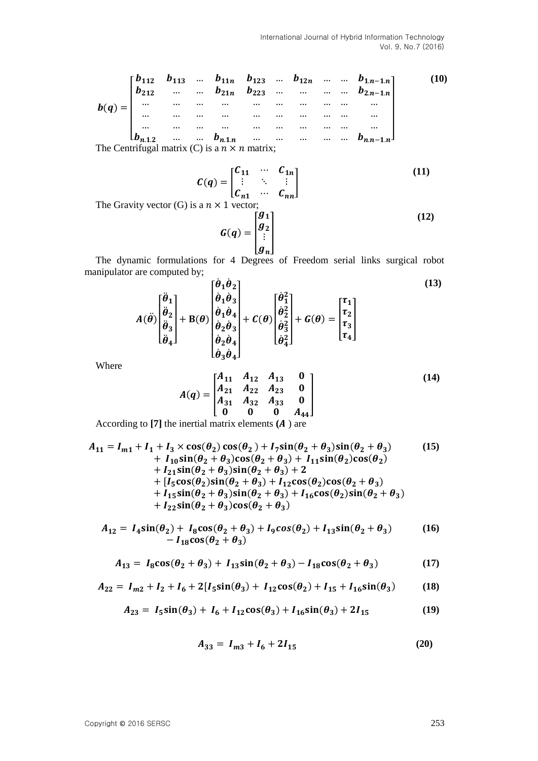$$
b(q) = \begin{bmatrix} b_{112} & b_{113} & \dots & b_{11n} & b_{123} & \dots & b_{12n} & \dots & \dots & b_{1n-1n} \\ b_{212} & \dots & \dots & b_{21n} & b_{223} & \dots & \dots & \dots & b_{2n-1n} \\ \dots & \dots & \dots & \dots & \dots & \dots & \dots & \dots & \dots \\ \dots & \dots & \dots & \dots & \dots & \dots & \dots & \dots & \dots \\ \dots & \dots & \dots & \dots & \dots & \dots & \dots & \dots & \dots \\ \dots & \dots & \dots & \dots & \dots & \dots & \dots & \dots & \dots \\ b_{n12} & \dots & \dots & b_{n1n} & \dots & \dots & \dots & \dots & b_{nn-1n} \end{bmatrix}
$$
 (10)

The Centrifugal matrix (C) is a  $n \times n$  matrix;

$$
C(q) = \begin{bmatrix} C_{11} & \cdots & C_{1n} \\ \vdots & \ddots & \vdots \\ C_{n1} & \cdots & C_{nn} \end{bmatrix}
$$
 (11)

The Gravity vector (G) is a  $n \times 1$  vector;

$$
G(q) = \begin{bmatrix} g_1 \\ g_2 \\ \vdots \\ g_n \end{bmatrix}
$$
 (12)

The dynamic formulations for 4 Degrees of Freedom serial links surgical robot manipulator are computed by;

$$
A(\hat{\theta})\begin{bmatrix} \ddot{\theta}_1 \\ \ddot{\theta}_2 \\ \ddot{\theta}_3 \\ \ddot{\theta}_4 \end{bmatrix} + B(\theta)\begin{bmatrix} \dot{\theta}_1 \dot{\theta}_2 \\ \dot{\theta}_1 \dot{\theta}_3 \\ \dot{\theta}_2 \dot{\theta}_3 \\ \dot{\theta}_2 \dot{\theta}_4 \\ \dot{\theta}_3 \dot{\theta}_4 \end{bmatrix} + C(\theta)\begin{bmatrix} \dot{\theta}_1^2 \\ \dot{\theta}_2^2 \\ \dot{\theta}_3^2 \\ \dot{\theta}_4^2 \end{bmatrix} + G(\theta) = \begin{bmatrix} \tau_1 \\ \tau_2 \\ \tau_3 \\ \tau_4 \end{bmatrix}
$$
(13)

Where

$$
A(q) = \begin{bmatrix} A_{11} & A_{12} & A_{13} & 0 \\ A_{21} & A_{22} & A_{23} & 0 \\ A_{31} & A_{32} & A_{33} & 0 \\ 0 & 0 & 0 & A_{44} \end{bmatrix}
$$
(14)

According to  $[7]$  the inertial matrix elements  $(A)$  are

$$
A_{11} = I_{m1} + I_1 + I_3 \times \cos(\theta_2) \cos(\theta_2) + I_7 \sin(\theta_2 + \theta_3) \sin(\theta_2 + \theta_3)
$$
(15)  
+  $I_{10} \sin(\theta_2 + \theta_3) \cos(\theta_2 + \theta_3) + I_{11} \sin(\theta_2) \cos(\theta_2)$   
+  $I_{21} \sin(\theta_2 + \theta_3) \sin(\theta_2 + \theta_3) + 2$   
+  $[I_5 \cos(\theta_2) \sin(\theta_2 + \theta_3) + I_{12} \cos(\theta_2) \cos(\theta_2 + \theta_3)$   
+  $I_{15} \sin(\theta_2 + \theta_3) \sin(\theta_2 + \theta_3) + I_{16} \cos(\theta_2) \sin(\theta_2 + \theta_3)$   
+  $I_{22} \sin(\theta_2 + \theta_3) \cos(\theta_2 + \theta_3)$ 

$$
A_{12} = I_4 \sin(\theta_2) + I_8 \cos(\theta_2 + \theta_3) + I_9 \cos(\theta_2) + I_{13} \sin(\theta_2 + \theta_3)
$$
 (16)  
-  $I_{18} \cos(\theta_2 + \theta_3)$ 

$$
A_{13} = I_8 \cos(\theta_2 + \theta_3) + I_{13} \sin(\theta_2 + \theta_3) - I_{18} \cos(\theta_2 + \theta_3)
$$
 (17)

$$
A_{22} = I_{m2} + I_2 + I_6 + 2[I_5 \sin(\theta_3) + I_{12} \cos(\theta_2) + I_{15} + I_{16} \sin(\theta_3)
$$
 (18)

$$
A_{23} = I_5 \sin(\theta_3) + I_6 + I_{12} \cos(\theta_3) + I_{16} \sin(\theta_3) + 2I_{15}
$$
 (19)

$$
A_{33} = I_{m3} + I_6 + 2I_{15} \tag{20}
$$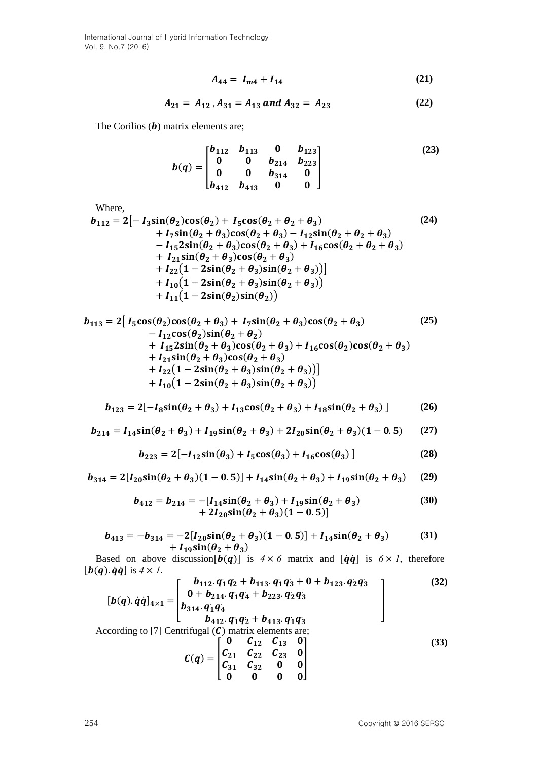$$
A_{44} = I_{m4} + I_{14} \tag{21}
$$

$$
A_{21} = A_{12}, A_{31} = A_{13} \text{ and } A_{32} = A_{23}
$$
 (22)

The Corilios  $(b)$  matrix elements are;

$$
b(q) = \begin{bmatrix} b_{112} & b_{113} & 0 & b_{123} \\ 0 & 0 & b_{214} & b_{223} \\ 0 & 0 & b_{314} & 0 \\ b_{412} & b_{413} & 0 & 0 \end{bmatrix}
$$
 (23)

Where,

$$
b_{112} = 2[-I_3\sin(\theta_2)\cos(\theta_2) + I_5\cos(\theta_2 + \theta_2 + \theta_3) \qquad (24)
$$
  
+  $I_7\sin(\theta_2 + \theta_3)\cos(\theta_2 + \theta_3) - I_{12}\sin(\theta_2 + \theta_2 + \theta_3)$   
-  $I_{15}2\sin(\theta_2 + \theta_3)\cos(\theta_2 + \theta_3) + I_{16}\cos(\theta_2 + \theta_2 + \theta_3)$   
+  $I_{21}\sin(\theta_2 + \theta_3)\cos(\theta_2 + \theta_3)$   
+  $I_{22}(1 - 2\sin(\theta_2 + \theta_3)\sin(\theta_2 + \theta_3))]$   
+  $I_{10}(1 - 2\sin(\theta_2 + \theta_3)\sin(\theta_2 + \theta_3))$   
+  $I_{11}(1 - 2\sin(\theta_2)\sin(\theta_2))$  (24)

$$
b_{113} = 2\left[I_5\cos(\theta_2)\cos(\theta_2 + \theta_3) + I_7\sin(\theta_2 + \theta_3)\cos(\theta_2 + \theta_3)\right] \qquad (25)
$$
  
-  $I_{12}\cos(\theta_2)\sin(\theta_2 + \theta_2)$   
+  $I_{15}2\sin(\theta_2 + \theta_3)\cos(\theta_2 + \theta_3) + I_{16}\cos(\theta_2)\cos(\theta_2 + \theta_3)$   
+  $I_{21}\sin(\theta_2 + \theta_3)\cos(\theta_2 + \theta_3)$   
+  $I_{22}(1 - 2\sin(\theta_2 + \theta_3)\sin(\theta_2 + \theta_3))\right] +  $I_{10}(1 - 2\sin(\theta_2 + \theta_3)\sin(\theta_2 + \theta_3))$  (25)$ 

$$
b_{123} = 2[-I_8\sin(\theta_2 + \theta_3) + I_{13}\cos(\theta_2 + \theta_3) + I_{18}\sin(\theta_2 + \theta_3)]
$$
 (26)

$$
b_{214} = I_{14}\sin(\theta_2 + \theta_3) + I_{19}\sin(\theta_2 + \theta_3) + 2I_{20}\sin(\theta_2 + \theta_3)(1 - 0.5)
$$
 (27)

$$
b_{223} = 2[-I_{12}\sin(\theta_3) + I_5\cos(\theta_3) + I_{16}\cos(\theta_3)]
$$
 (28)

$$
b_{314} = 2[I_{20}\sin(\theta_2 + \theta_3)(1 - 0.5)] + I_{14}\sin(\theta_2 + \theta_3) + I_{19}\sin(\theta_2 + \theta_3)
$$
 (29)

$$
b_{412} = b_{214} = -[I_{14}\sin(\theta_2 + \theta_3) + I_{19}\sin(\theta_2 + \theta_3) + 2I_{20}\sin(\theta_2 + \theta_3)(1 - 0.5)]
$$
\n(30)

$$
b_{413} = -b_{314} = -2[I_{20}\sin(\theta_2 + \theta_3)(1 - 0.5)] + I_{14}\sin(\theta_2 + \theta_3)
$$
(31)  
+  $I_{19}\sin(\theta_2 + \theta_3)$ 

Based on above discussion $\left[\mathbf{b}(q)\right]$  is  $4 \times 6$  matrix and  $\left[\dot{q}\dot{q}\right]$  is  $6 \times 1$ , therefore  $[\boldsymbol{b}(\boldsymbol{q}).\dot{\boldsymbol{q}}\dot{\boldsymbol{q}}]$  is  $4 \times I$ .

$$
[b(q).\dot{q}\dot{q}]_{4\times 1} = \begin{bmatrix} b_{112} \cdot q_1 q_2 + b_{113} \cdot q_1 q_3 + 0 + b_{123} \cdot q_2 q_3 \\ 0 + b_{214} \cdot q_1 q_4 + b_{223} \cdot q_2 q_3 \\ b_{314} \cdot q_1 q_4 \\ b_{412} \cdot q_1 q_2 + b_{413} \cdot q_1 q_3 \end{bmatrix}
$$
(32)  
According to [7] Centrifugal (*C*) matrix elements are;  

$$
C(q) = \begin{bmatrix} 0 & C_{12} & C_{13} & 0 \\ C_{21} & C_{22} & C_{23} & 0 \\ C_{31} & C_{32} & 0 & 0 \\ 0 & 0 & 0 & 0 \end{bmatrix}
$$
(33)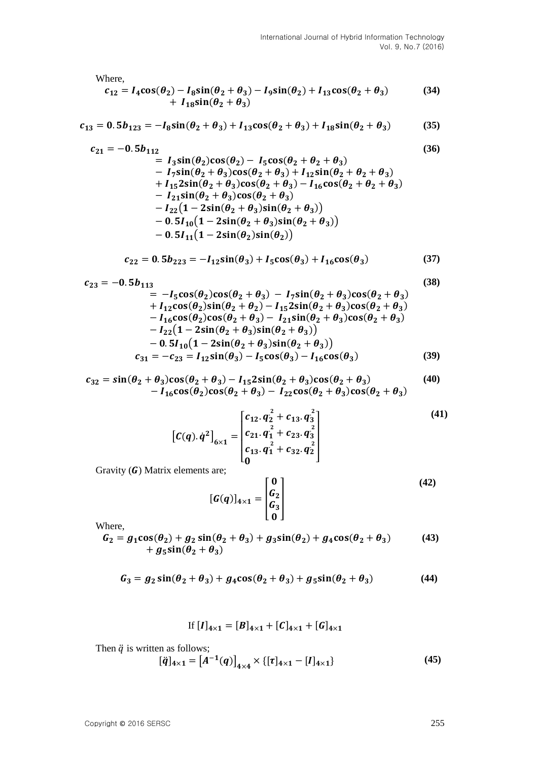Where,

$$
c_{12} = I_4 \cos(\theta_2) - I_8 \sin(\theta_2 + \theta_3) - I_9 \sin(\theta_2) + I_{13} \cos(\theta_2 + \theta_3)
$$
(34)  
+  $I_{18} \sin(\theta_2 + \theta_3)$ 

$$
c_{13} = 0.5b_{123} = -I_8 \sin(\theta_2 + \theta_3) + I_{13} \cos(\theta_2 + \theta_3) + I_{18} \sin(\theta_2 + \theta_3)
$$
(35)

$$
c_{21} = -0.5b_{112}
$$
  
\n
$$
= I_3 \sin(\theta_2)\cos(\theta_2) - I_5 \cos(\theta_2 + \theta_2 + \theta_3)
$$
  
\n
$$
- I_7 \sin(\theta_2 + \theta_3)\cos(\theta_2 + \theta_3) + I_{12} \sin(\theta_2 + \theta_2 + \theta_3)
$$
  
\n
$$
+ I_{15} 2 \sin(\theta_2 + \theta_3)\cos(\theta_2 + \theta_3) - I_{16} \cos(\theta_2 + \theta_2 + \theta_3)
$$
  
\n
$$
- I_{21} \sin(\theta_2 + \theta_3)\cos(\theta_2 + \theta_3)
$$
  
\n
$$
- I_{22} (1 - 2 \sin(\theta_2 + \theta_3)\sin(\theta_2 + \theta_3))
$$
  
\n
$$
- 0.5I_{10} (1 - 2 \sin(\theta_2 + \theta_3)\sin(\theta_2 + \theta_3))
$$
  
\n
$$
- 0.5I_{11} (1 - 2 \sin(\theta_2)\sin(\theta_2))
$$
  
\n(80)

$$
c_{22} = 0.5b_{223} = -I_{12}\sin(\theta_3) + I_5\cos(\theta_3) + I_{16}\cos(\theta_3)
$$
 (37)

$$
c_{23} = -0.5b_{113}
$$
\n
$$
= -I_5 \cos(\theta_2)\cos(\theta_2 + \theta_3) - I_7 \sin(\theta_2 + \theta_3)\cos(\theta_2 + \theta_3)
$$
\n
$$
+ I_{12} \cos(\theta_2)\sin(\theta_2 + \theta_2) - I_{15} 2\sin(\theta_2 + \theta_3)\cos(\theta_2 + \theta_3)
$$
\n
$$
- I_{16} \cos(\theta_2)\cos(\theta_2 + \theta_3) - I_{21} \sin(\theta_2 + \theta_3)\cos(\theta_2 + \theta_3)
$$
\n
$$
- I_{22} (1 - 2\sin(\theta_2 + \theta_3)\sin(\theta_2 + \theta_3))
$$
\n
$$
- 0.5I_{10} (1 - 2\sin(\theta_2 + \theta_3)\sin(\theta_2 + \theta_3))
$$
\n
$$
c_{31} = -c_{23} = I_{12} \sin(\theta_3) - I_5 \cos(\theta_3) - I_{16} \cos(\theta_3)
$$
\n(39)

$$
c_{32} = \sin(\theta_2 + \theta_3)\cos(\theta_2 + \theta_3) - I_{15}2\sin(\theta_2 + \theta_3)\cos(\theta_2 + \theta_3)
$$
(40)  
-  $I_{16}\cos(\theta_2)\cos(\theta_2 + \theta_3) - I_{22}\cos(\theta_2 + \theta_3)\cos(\theta_2 + \theta_3)$ 

$$
\begin{bmatrix} C(q) . \dot{q}^2 \end{bmatrix}_{6 \times 1} = \begin{bmatrix} c_{12} . q_2^2 + c_{13} . q_3^2 \\ c_{21} . q_1^2 + c_{23} . q_3^2 \\ c_{13} . q_1^2 + c_{32} . q_2^2 \\ 0 \end{bmatrix}
$$
 (41)

Gravity  $(G)$  Matrix elements are;

$$
[G(q)]_{4\times1} = \begin{bmatrix} 0 \\ G_2 \\ G_3 \\ 0 \end{bmatrix}
$$
 (42)

Where,

$$
G_2 = g_1 \cos(\theta_2) + g_2 \sin(\theta_2 + \theta_3) + g_3 \sin(\theta_2) + g_4 \cos(\theta_2 + \theta_3)
$$
 (43)  
+ 
$$
g_5 \sin(\theta_2 + \theta_3)
$$

$$
G_3 = g_2 \sin(\theta_2 + \theta_3) + g_4 \cos(\theta_2 + \theta_3) + g_5 \sin(\theta_2 + \theta_3)
$$
 (44)

If 
$$
[I]_{4\times 1} = [B]_{4\times 1} + [C]_{4\times 1} + [G]_{4\times 1}
$$

Then  $\ddot{q}$  is written as follows;

$$
[\ddot{q}]_{4\times 1} = [A^{-1}(q)]_{4\times 4} \times \{[\tau]_{4\times 1} - [I]_{4\times 1}\}\tag{45}
$$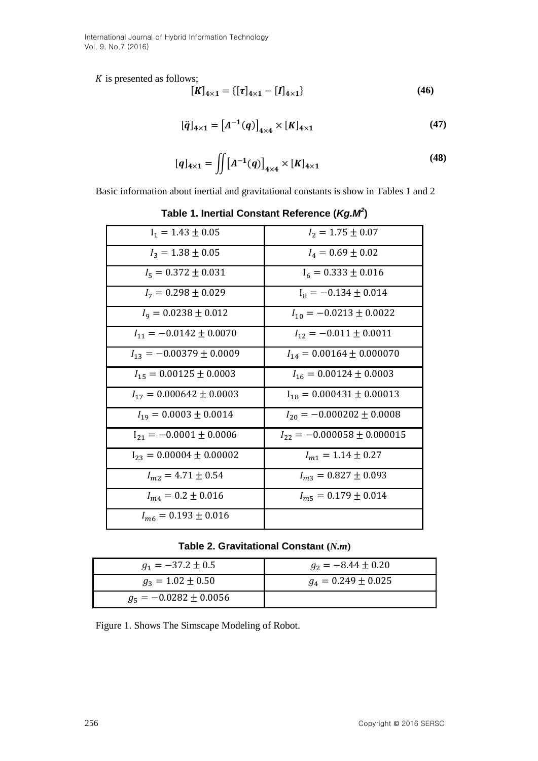$K$  is presented as follows;

$$
[K]_{4\times 1} = \{ [\tau]_{4\times 1} - [I]_{4\times 1} \}
$$
 (46)

$$
[\ddot{q}]_{4\times 1} = [A^{-1}(q)]_{4\times 4} \times [K]_{4\times 1}
$$
 (47)

$$
[q]_{4\times 1} = \iint [A^{-1}(q)]_{4\times 4} \times [K]_{4\times 1}
$$
 (48)

Basic information about inertial and gravitational constants is show in Tables 1 and 2

| $I_1 = 1.43 \pm 0.05$          | $I_2 = 1.75 \pm 0.07$             |
|--------------------------------|-----------------------------------|
| $I_3 = 1.38 \pm 0.05$          | $I_4 = 0.69 \pm 0.02$             |
| $I_5 = 0.372 \pm 0.031$        | $I_6 = 0.333 \pm 0.016$           |
| $I_7 = 0.298 \pm 0.029$        | $I_8 = -0.134 \pm 0.014$          |
| $I_9 = 0.0238 \pm 0.012$       | $I_{10} = -0.0213 \pm 0.0022$     |
| $I_{11} = -0.0142 \pm 0.0070$  | $I_{12} = -0.011 \pm 0.0011$      |
| $I_{13} = -0.00379 \pm 0.0009$ | $I_{14} = 0.00164 \pm 0.000070$   |
| $I_{15} = 0.00125 \pm 0.0003$  | $I_{16} = 0.00124 \pm 0.0003$     |
| $I_{17} = 0.000642 \pm 0.0003$ | $I_{18} = 0.000431 \pm 0.00013$   |
| $I_{19} = 0.0003 \pm 0.0014$   | $I_{20} = -0.000202 \pm 0.0008$   |
| $I_{21} = -0.0001 \pm 0.0006$  | $I_{22} = -0.000058 \pm 0.000015$ |
| $I_{23} = 0.00004 \pm 0.00002$ | $I_{m1} = 1.14 \pm 0.27$          |
| $I_{m2} = 4.71 \pm 0.54$       | $I_{m3} = 0.827 \pm 0.093$        |
| $I_{m4} = 0.2 \pm 0.016$       | $I_{m5} = 0.179 \pm 0.014$        |
| $I_{m6} = 0.193 \pm 0.016$     |                                   |

**Table 1. Inertial Constant Reference (***Kg.M<sup>2</sup>* **)**

#### **Table 2. Gravitational Constant (***N.m***)**

| $g_1 = -37.2 \pm 0.5$      | $q_2 = -8.44 \pm 0.20$  |
|----------------------------|-------------------------|
| $g_3 = 1.02 \pm 0.50$      | $g_4 = 0.249 \pm 0.025$ |
| $g_5 = -0.0282 \pm 0.0056$ |                         |

Figure 1. Shows The Simscape Modeling of Robot.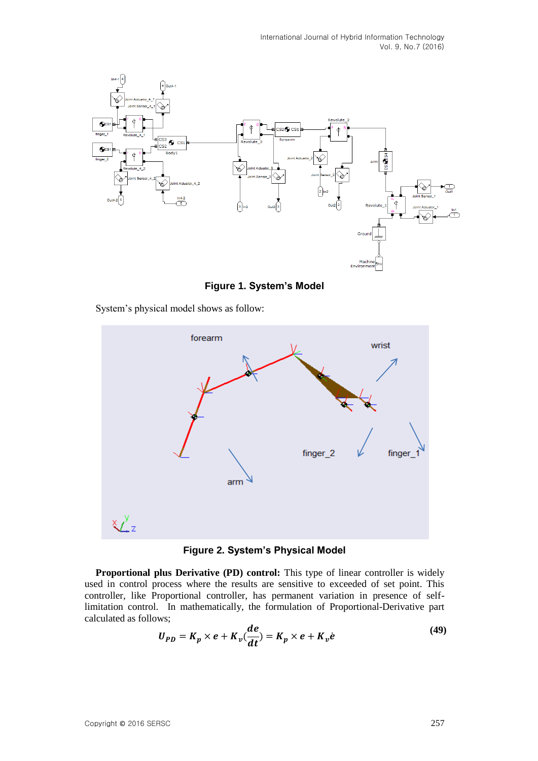

**Figure 1. System's Model**

System's physical model shows as follow:



**Figure 2. System's Physical Model**

**Proportional plus Derivative (PD) control:** This type of linear controller is widely used in control process where the results are sensitive to exceeded of set point. This controller, like Proportional controller, has permanent variation in presence of selflimitation control. In mathematically, the formulation of Proportional-Derivative part calculated as follows;

$$
U_{PD} = K_p \times e + K_v \left(\frac{de}{dt}\right) = K_p \times e + K_v \dot{e}
$$
\n(49)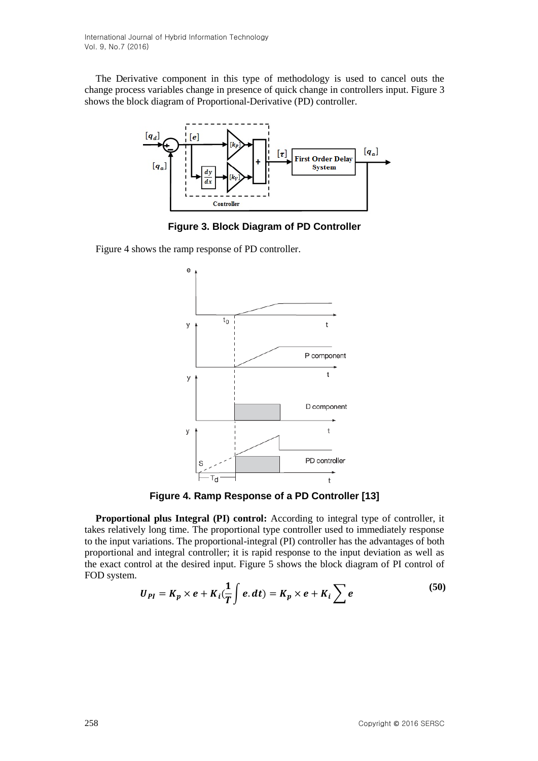The Derivative component in this type of methodology is used to cancel outs the change process variables change in presence of quick change in controllers input. Figure 3 shows the block diagram of Proportional-Derivative (PD) controller.



**Figure 3. Block Diagram of PD Controller**

Figure 4 shows the ramp response of PD controller.



**Figure 4. Ramp Response of a PD Controller [13]**

**Proportional plus Integral (PI) control:** According to integral type of controller, it takes relatively long time. The proportional type controller used to immediately response to the input variations. The proportional-integral (PI) controller has the advantages of both proportional and integral controller; it is rapid response to the input deviation as well as the exact control at the desired input. Figure 5 shows the block diagram of PI control of FOD system.

$$
U_{PI} = K_p \times e + K_i \left(\frac{1}{T}\int e \cdot dt\right) = K_p \times e + K_i \sum e \tag{50}
$$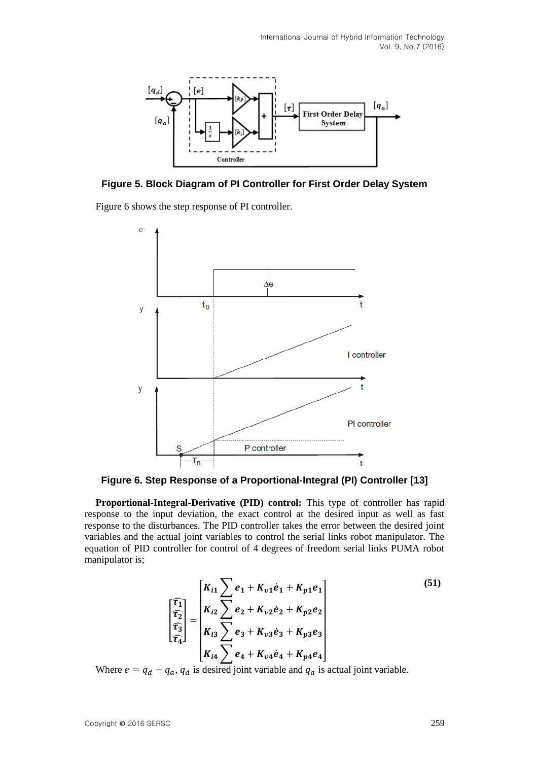



Figure 6 shows the step response of PI controller.



**Figure 6. Step Response of a Proportional-Integral (PI) Controller [13]**

**Proportional-Integral-Derivative (PID) control:** This type of controller has rapid response to the input deviation, the exact control at the desired input as well as fast response to the disturbances. The PID controller takes the error between the desired joint variables and the actual joint variables to control the serial links robot manipulator. The equation of PID controller for control of 4 degrees of freedom serial links PUMA robot manipulator is;

(51)  
\n
$$
\begin{bmatrix}\n\widehat{\tau_1} \\
\widehat{\tau_2} \\
\widehat{\tau_3} \\
\widehat{\tau_4}\n\end{bmatrix} =\n\begin{bmatrix}\nK_{i1} \sum e_1 + K_{v1}e_1 + K_{p1}e_1 \\
K_{i2} \sum e_2 + K_{v2}e_2 + K_{p2}e_2 \\
K_{i3} \sum e_3 + K_{v3}e_3 + K_{p3}e_3 \\
K_{i4} \sum e_4 + K_{v4}e_4 + K_{p4}e_4\n\end{bmatrix}
$$
\n(51)

Where  $e = q_d - q_a$ ,  $q_d$  is desired joint variable and  $q_a$  is actual joint variable.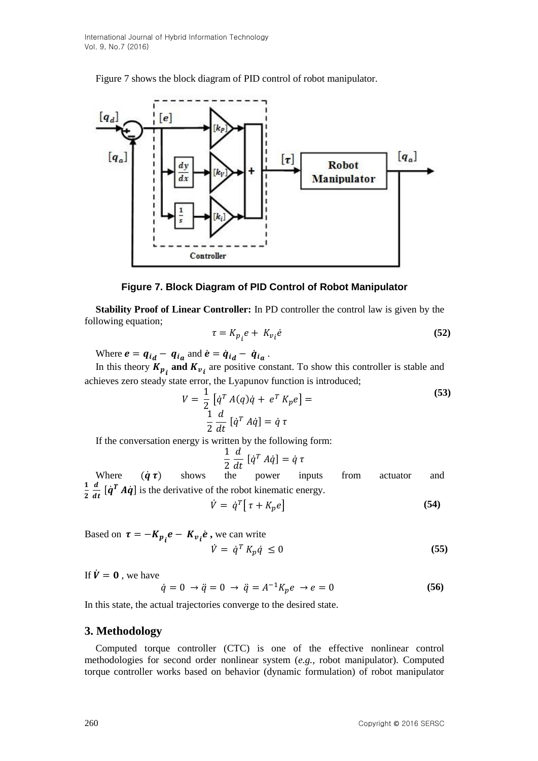Figure 7 shows the block diagram of PID control of robot manipulator.





**Stability Proof of Linear Controller:** In PD controller the control law is given by the following equation;

$$
\tau = K_{p_i} e + K_{v_i} \dot{e} \tag{52}
$$

Where  $e = q_{i_d} - q_{i_q}$  and  $\dot{e} = \dot{q}_{i_d} - \dot{q}_{i_q}$ .

In this theory  $K_{n}$ , and  $K_{\nu}$ , are positive constant. To show this controller is stable and achieves zero steady state error, the Lyapunov function is introduced;

$$
V = \frac{1}{2} \left[ \dot{q}^T A(q) \dot{q} + e^T K_p e \right] =
$$
\n
$$
\frac{1}{2} \frac{d}{dt} \left[ \dot{q}^T A \dot{q} \right] = \dot{q} \tau
$$
\n(53)

If the conversation energy is written by the following form:

$$
\frac{1}{2}\frac{d}{dt}\left[\dot{q}^T A \dot{q}\right] = \dot{q}\tau
$$

Where  $(\dot{q} \tau)$  shows the power inputs from actuator and  $\mathbf{1}$ 2 d  $\frac{d}{dt}$  [ $\dot{q}^T A \dot{q}$ ] is the derivative of the robot kinematic energy.

$$
\dot{V} = \dot{q}^T [\tau + K_p e] \tag{54}
$$

Based on  $\tau = -K_p e - K_{p,i} \dot{e}$ , we can write

$$
\dot{V} = \dot{q}^T K_p \dot{q} \le 0 \tag{55}
$$

If  $\dot{V} = 0$ , we have

 $\dot{q} = 0 \to \ddot{q} = 0 \to \ddot{q} = A^{-1} K_p e \to e = 0$  (56)

In this state, the actual trajectories converge to the desired state.

### **3. Methodology**

Computed torque controller (CTC) is one of the effective nonlinear control methodologies for second order nonlinear system (*e.g.,* robot manipulator). Computed torque controller works based on behavior (dynamic formulation) of robot manipulator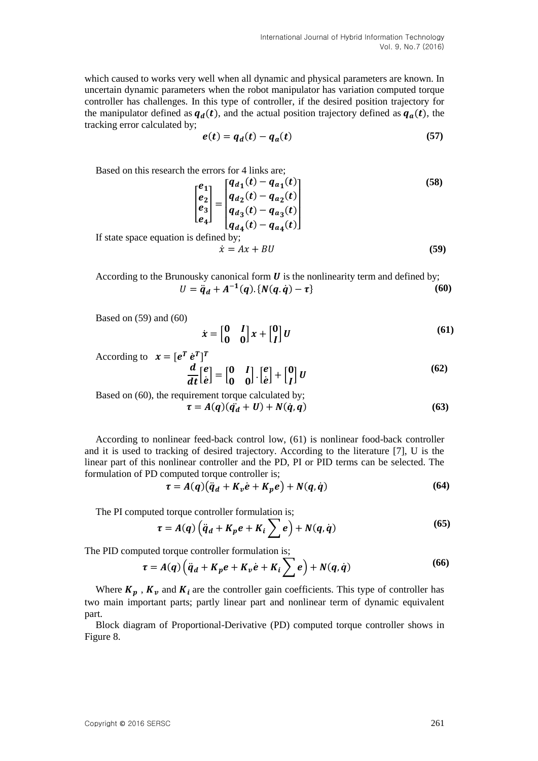which caused to works very well when all dynamic and physical parameters are known. In uncertain dynamic parameters when the robot manipulator has variation computed torque controller has challenges. In this type of controller, if the desired position trajectory for the manipulator defined as  $q_d(t)$ , and the actual position trajectory defined as  $q_a(t)$ , the tracking error calculated by;

$$
e(t) = q_d(t) - q_a(t) \tag{57}
$$

Based on this research the errors for 4 links are;

$$
\begin{bmatrix} e_1 \\ e_2 \\ e_3 \\ e_4 \end{bmatrix} = \begin{bmatrix} q_{d_1}(t) - q_{a_1}(t) \\ q_{d_2}(t) - q_{a_2}(t) \\ q_{d_3}(t) - q_{a_3}(t) \\ q_{d_4}(t) - q_{a_4}(t) \end{bmatrix}
$$
(58)  
s defined by;  
 $\dot{x} = Ax + BU$  (59)

If state space equation is

$$
\mathcal{L}^{\mathcal{L}}(\mathcal{L}^{\mathcal{L}})
$$

According to the Brunousky canonical form  $U$  is the nonlinearity term and defined by;  $U = \ddot{q}_d + A^{-1}(q) \cdot \{ N(q, \dot{q}) - \tau \}$  (60)

Based on (59) and (60)

$$
\dot{x} = \begin{bmatrix} 0 & I \\ 0 & 0 \end{bmatrix} x + \begin{bmatrix} 0 \\ I \end{bmatrix} U \tag{61}
$$

According to  $\mathbf{x} = [e^T \dot{e}^T]^T$ 

$$
\frac{d}{dt} \begin{bmatrix} e \\ e \end{bmatrix} = \begin{bmatrix} 0 & I \\ 0 & 0 \end{bmatrix} \cdot \begin{bmatrix} e \\ e \end{bmatrix} + \begin{bmatrix} 0 \\ I \end{bmatrix} U \tag{62}
$$

Based on (60), the requirement torque calculated by;  $\tau = A(q)(\ddot{q}_d + U) + N(\dot{q}, q)$  (63)

According to nonlinear feed-back control low, (61) is nonlinear food-back controller and it is used to tracking of desired trajectory. According to the literature [7], U is the linear part of this nonlinear controller and the PD, PI or PID terms can be selected. The formulation of PD computed torque controller is;

$$
\tau = A(q)(\ddot{q}_d + K_v \dot{e} + K_p e) + N(q, \dot{q})
$$
\n(64)

The PI computed torque controller formulation is:

$$
\tau = A(q) \left( \ddot{q}_d + K_p e + K_i \sum e \right) + N(q, \dot{q}) \tag{65}
$$

The PID computed torque controller formulation is;

$$
\tau = A(q) \left( \ddot{q}_d + K_p e + K_v \dot{e} + K_i \sum e \right) + N(q, \dot{q}) \tag{66}
$$

Where  $K_p$ ,  $K_v$  and  $K_i$  are the controller gain coefficients. This type of controller has two main important parts; partly linear part and nonlinear term of dynamic equivalent part.

Block diagram of Proportional-Derivative (PD) computed torque controller shows in Figure 8.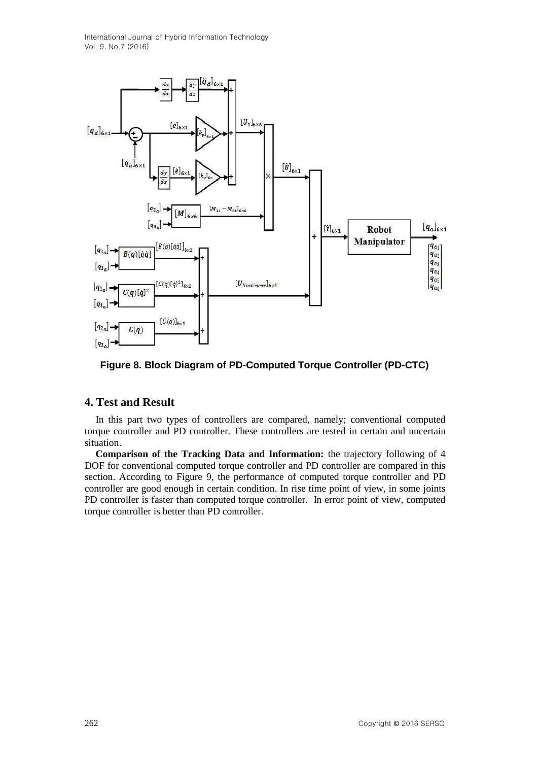

**Figure 8. Block Diagram of PD-Computed Torque Controller (PD-CTC)**

### **4. Test and Result**

In this part two types of controllers are compared, namely; conventional computed torque controller and PD controller. These controllers are tested in certain and uncertain situation.

**Comparison of the Tracking Data and Information:** the trajectory following of 4 DOF for conventional computed torque controller and PD controller are compared in this section. According to Figure 9, the performance of computed torque controller and PD controller are good enough in certain condition. In rise time point of view, in some joints PD controller is faster than computed torque controller. In error point of view, computed torque controller is better than PD controller.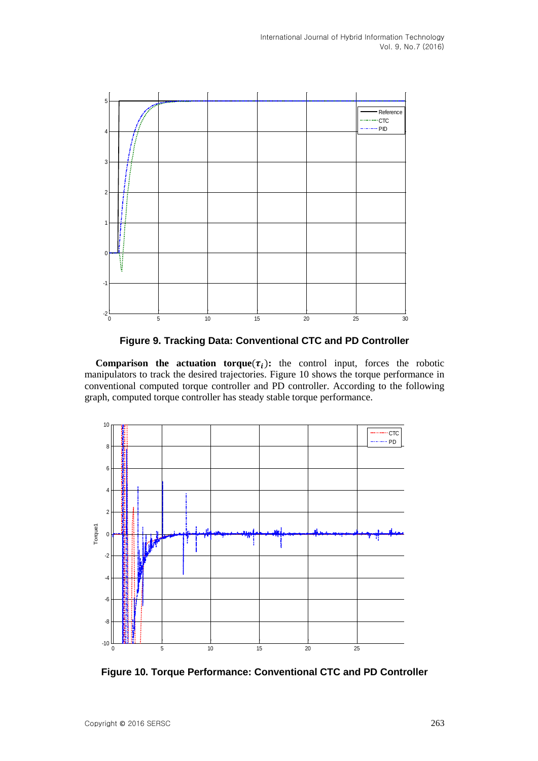

**Figure 9. Tracking Data: Conventional CTC and PD Controller**

**Comparison the actuation torque** $(\tau_i)$ **:** the control input, forces the robotic manipulators to track the desired trajectories. Figure 10 shows the torque performance in conventional computed torque controller and PD controller. According to the following graph, computed torque controller has steady stable torque performance.

![](_page_14_Figure_4.jpeg)

**Figure 10. Torque Performance: Conventional CTC and PD Controller**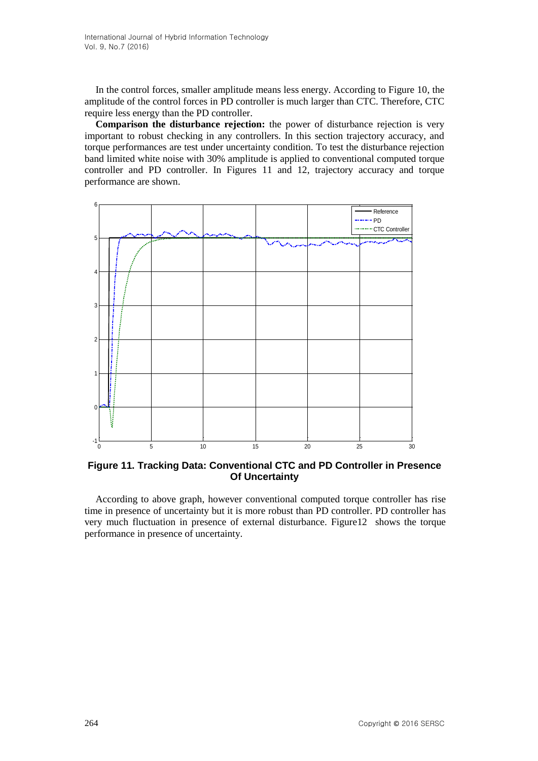In the control forces, smaller amplitude means less energy. According to Figure 10, the amplitude of the control forces in PD controller is much larger than CTC. Therefore, CTC require less energy than the PD controller.

**Comparison the disturbance rejection:** the power of disturbance rejection is very important to robust checking in any controllers. In this section trajectory accuracy, and torque performances are test under uncertainty condition. To test the disturbance rejection band limited white noise with 30% amplitude is applied to conventional computed torque controller and PD controller. In Figures 11 and 12, trajectory accuracy and torque performance are shown.

![](_page_15_Figure_3.jpeg)

**Figure 11. Tracking Data: Conventional CTC and PD Controller in Presence Of Uncertainty**

According to above graph, however conventional computed torque controller has rise time in presence of uncertainty but it is more robust than PD controller. PD controller has very much fluctuation in presence of external disturbance. Figure12 shows the torque performance in presence of uncertainty.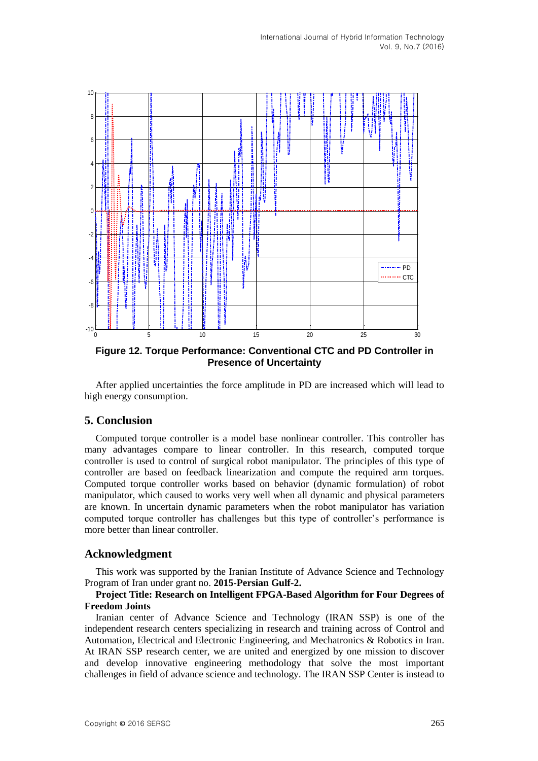![](_page_16_Figure_1.jpeg)

**Figure 12. Torque Performance: Conventional CTC and PD Controller in Presence of Uncertainty**

After applied uncertainties the force amplitude in PD are increased which will lead to high energy consumption.

### **5. Conclusion**

Computed torque controller is a model base nonlinear controller. This controller has many advantages compare to linear controller. In this research, computed torque controller is used to control of surgical robot manipulator. The principles of this type of controller are based on feedback linearization and compute the required arm torques. Computed torque controller works based on behavior (dynamic formulation) of robot manipulator, which caused to works very well when all dynamic and physical parameters are known. In uncertain dynamic parameters when the robot manipulator has variation computed torque controller has challenges but this type of controller's performance is more better than linear controller.

#### **Acknowledgment**

This work was supported by the Iranian Institute of Advance Science and Technology Program of Iran under grant no. **2015-Persian Gulf-2.**

#### **Project Title: Research on Intelligent FPGA-Based Algorithm for Four Degrees of Freedom Joints**

Iranian center of Advance Science and Technology (IRAN SSP) is one of the independent research centers specializing in research and training across of Control and Automation, Electrical and Electronic Engineering, and Mechatronics & Robotics in Iran. At IRAN SSP research center, we are united and energized by one mission to discover and develop innovative engineering methodology that solve the most important challenges in field of advance science and technology. The IRAN SSP Center is instead to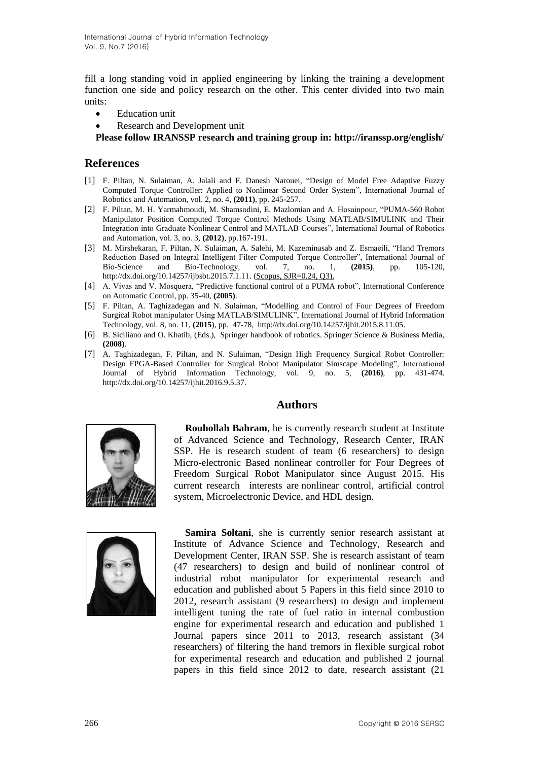fill a long standing void in applied engineering by linking the training a development function one side and policy research on the other. This center divided into two main units:

- Education unit
- Research and Development unit

#### **Please follow IRANSSP research and training group in: <http://iranssp.org/english/>**

### **References**

- [1] F. Piltan, N. Sulaiman, A. Jalali and F. Danesh Narouei, "Design of Model Free Adaptive Fuzzy Computed Torque Controller: Applied to Nonlinear Second Order System", International Journal of Robotics and Automation, vol. 2, no. 4, **(2011)**, pp. 245-257.
- [2] F. Piltan, M. H. Yarmahmoudi, M. Shamsodini, E. Mazlomian and A. Hosainpour, "PUMA-560 Robot Manipulator Position Computed Torque Control Methods Using MATLAB/SIMULINK and Their Integration into Graduate Nonlinear Control and MATLAB Courses", International Journal of Robotics and Automation, vol. 3, no. 3, **(2012)**, pp.167-191.
- [3] M. Mirshekaran, F. Piltan, N. Sulaiman, A. Salehi, M. Kazeminasab and Z. Esmaeili, "Hand Tremors Reduction Based on Integral Intelligent Filter Computed Torque Controller", International Journal of Bio-Science and Bio-Technology, vol. 7, no. 1, **(2015)**, pp. 105-120, [http://dx.doi.org/10.14257/ijbsbt.2015.7.1.11.](http://dx.doi.org/10.14257/ijbsbt.2015.7.1.11) (Scopus, SJR=0.24, Q3).
- [4] A. Vivas and V. Mosquera, "Predictive functional control of a PUMA robot", International Conference on Automatic Control, pp. 35-40, **(2005)**.
- [5] F. Piltan, A. Taghizadegan and N. Sulaiman, "Modelling and Control of Four Degrees of Freedom Surgical Robot manipulator Using MATLAB/SIMULINK", International Journal of Hybrid Information Technology, vol. 8, no. 11, **(2015**), pp. 47-78, [http://dx.doi.org/10.14257/ijhit.2015.8.11.05.](http://dx.doi.org/10.14257/ijhit.2015.8.11.05)
- [6] B. Siciliano and O. Khatib, (Eds.), Springer handbook of robotics. Springer Science & Business Media, **(2008)**.
- [7] A. Taghizadegan, F. Piltan, and N. Sulaiman, "Design High Frequency Surgical Robot Controller: Design FPGA-Based Controller for Surgical Robot Manipulator Simscape Modeling", International Journal of Hybrid Information Technology, vol. 9, no. 5, **(2016)**, pp. 431-474. [http://dx.doi.org/10.14257/ijhit.2016.9.5.37.](http://dx.doi.org/10.14257/ijhit.2016.9.5.37)

## **Authors**

![](_page_17_Picture_14.jpeg)

**Rouhollah Bahram**, he is currently research student at Institute of Advanced Science and Technology, Research Center, IRAN SSP. He is research student of team (6 researchers) to design Micro-electronic Based nonlinear controller for Four Degrees of Freedom Surgical Robot Manipulator since August 2015. His current research interests are nonlinear control, artificial control system, Microelectronic Device, and HDL design.

![](_page_17_Picture_16.jpeg)

**Samira Soltani**, she is currently senior research assistant at Institute of Advance Science and Technology, Research and Development Center, IRAN SSP. She is research assistant of team (47 researchers) to design and build of nonlinear control of industrial robot manipulator for experimental research and education and published about 5 Papers in this field since 2010 to 2012, research assistant (9 researchers) to design and implement intelligent tuning the rate of fuel ratio in internal combustion engine for experimental research and education and published 1 Journal papers since 2011 to 2013, research assistant (34 researchers) of filtering the hand tremors in flexible surgical robot for experimental research and education and published 2 journal papers in this field since 2012 to date, research assistant (21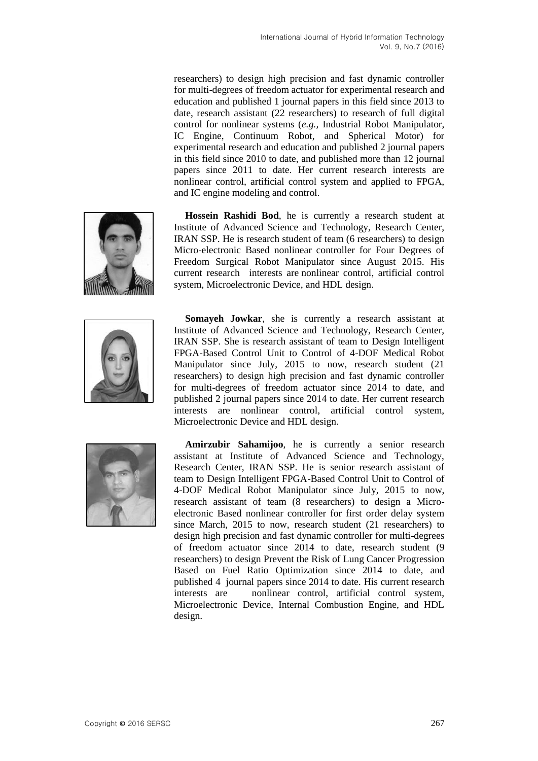researchers) to design high precision and fast dynamic controller for multi-degrees of freedom actuator for experimental research and education and published 1 journal papers in this field since 2013 to date, research assistant (22 researchers) to research of full digital control for nonlinear systems (*e.g.,* Industrial Robot Manipulator, IC Engine, Continuum Robot, and Spherical Motor) for experimental research and education and published 2 journal papers in this field since 2010 to date, and published more than 12 journal papers since 2011 to date. Her current research interests are nonlinear control, artificial control system and applied to FPGA, and IC engine modeling and control.

![](_page_18_Picture_2.jpeg)

**Hossein Rashidi Bod**, he is currently a research student at Institute of Advanced Science and Technology, Research Center, IRAN SSP. He is research student of team (6 researchers) to design Micro-electronic Based nonlinear controller for Four Degrees of Freedom Surgical Robot Manipulator since August 2015. His current research interests are nonlinear control, artificial control system, Microelectronic Device, and HDL design.

![](_page_18_Picture_4.jpeg)

**Somayeh Jowkar**, she is currently a research assistant at Institute of Advanced Science and Technology, Research Center, IRAN SSP. She is research assistant of team to Design Intelligent FPGA-Based Control Unit to Control of 4-DOF Medical Robot Manipulator since July, 2015 to now, research student (21 researchers) to design high precision and fast dynamic controller for multi-degrees of freedom actuator since 2014 to date, and published 2 journal papers since 2014 to date. Her current research interests are nonlinear control, artificial control system, Microelectronic Device and HDL design.

![](_page_18_Figure_6.jpeg)

**Amirzubir Sahamijoo**, he is currently a senior research assistant at Institute of Advanced Science and Technology, Research Center, IRAN SSP. He is senior research assistant of team to Design Intelligent FPGA-Based Control Unit to Control of 4-DOF Medical Robot Manipulator since July, 2015 to now, research assistant of team (8 researchers) to design a Microelectronic Based nonlinear controller for first order delay system since March, 2015 to now, research student (21 researchers) to design high precision and fast dynamic controller for multi-degrees of freedom actuator since 2014 to date, research student (9 researchers) to design Prevent the Risk of Lung Cancer Progression Based on Fuel Ratio Optimization since 2014 to date, and published 4 journal papers since 2014 to date. His current research interests are nonlinear control, artificial control system, Microelectronic Device, Internal Combustion Engine, and HDL design.